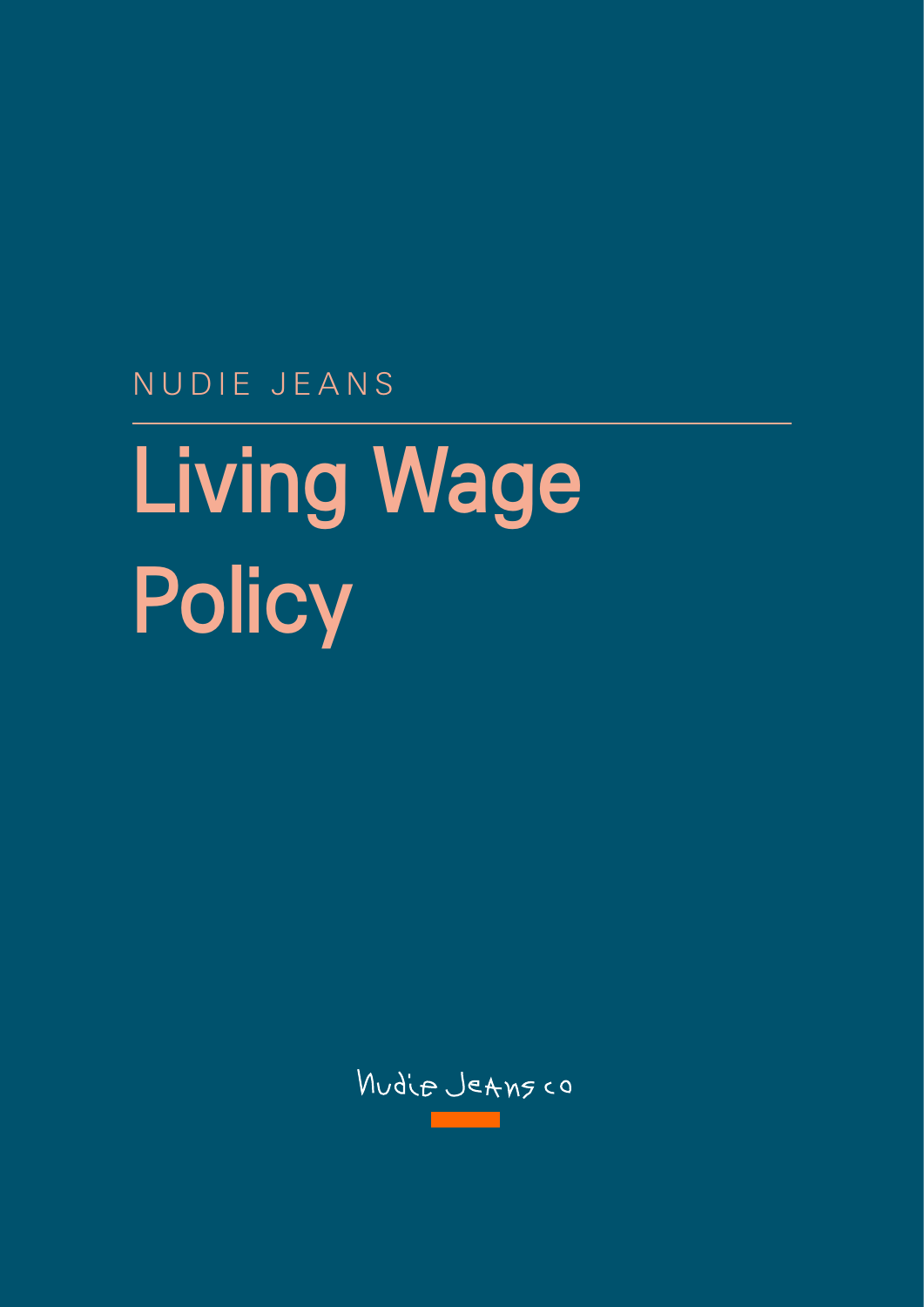NUDIE JEANS

## Living Wage **Policy**

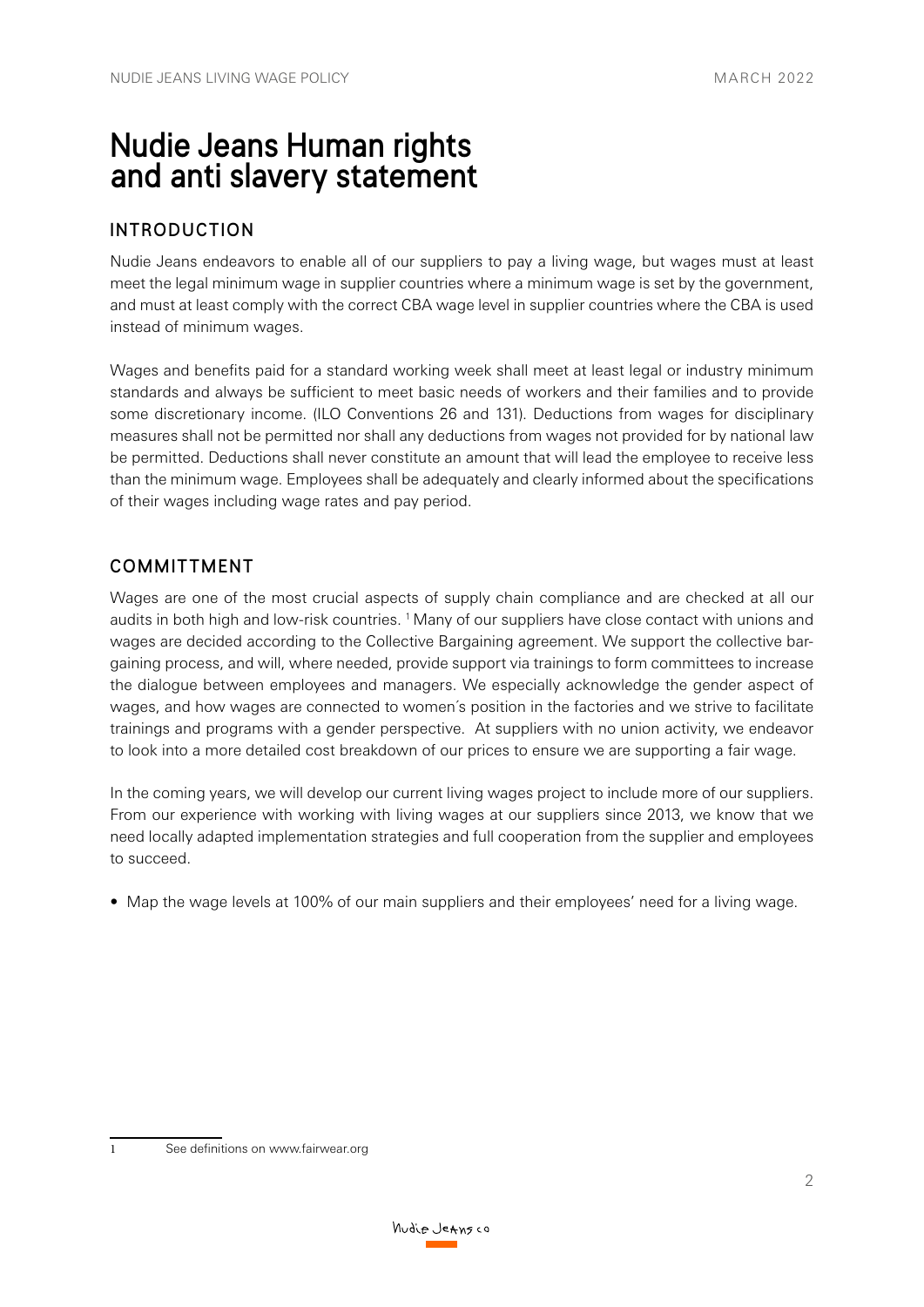## Nudie Jeans Human rights and anti slavery statement

## INTRODUCTION

Nudie Jeans endeavors to enable all of our suppliers to pay a living wage, but wages must at least meet the legal minimum wage in supplier countries where a minimum wage is set by the government, and must at least comply with the correct CBA wage level in supplier countries where the CBA is used instead of minimum wages.

Wages and benefits paid for a standard working week shall meet at least legal or industry minimum standards and always be sufficient to meet basic needs of workers and their families and to provide some discretionary income. (ILO Conventions 26 and 131). Deductions from wages for disciplinary measures shall not be permitted nor shall any deductions from wages not provided for by national law be permitted. Deductions shall never constitute an amount that will lead the employee to receive less than the minimum wage. Employees shall be adequately and clearly informed about the specifications of their wages including wage rates and pay period.

## COMMITTMENT

Wages are one of the most crucial aspects of supply chain compliance and are checked at all our audits in both high and low-risk countries. <sup>1</sup> Many of our suppliers have close contact with unions and wages are decided according to the Collective Bargaining agreement. We support the collective bargaining process, and will, where needed, provide support via trainings to form committees to increase the dialogue between employees and managers. We especially acknowledge the gender aspect of wages, and how wages are connected to women´s position in the factories and we strive to facilitate trainings and programs with a gender perspective. At suppliers with no union activity, we endeavor to look into a more detailed cost breakdown of our prices to ensure we are supporting a fair wage.

In the coming years, we will develop our current living wages project to include more of our suppliers. From our experience with working with living wages at our suppliers since 2013, we know that we need locally adapted implementation strategies and full cooperation from the supplier and employees to succeed.

• Map the wage levels at 100% of our main suppliers and their employees' need for a living wage.

<sup>1</sup> See definitions on www.fairwear.org